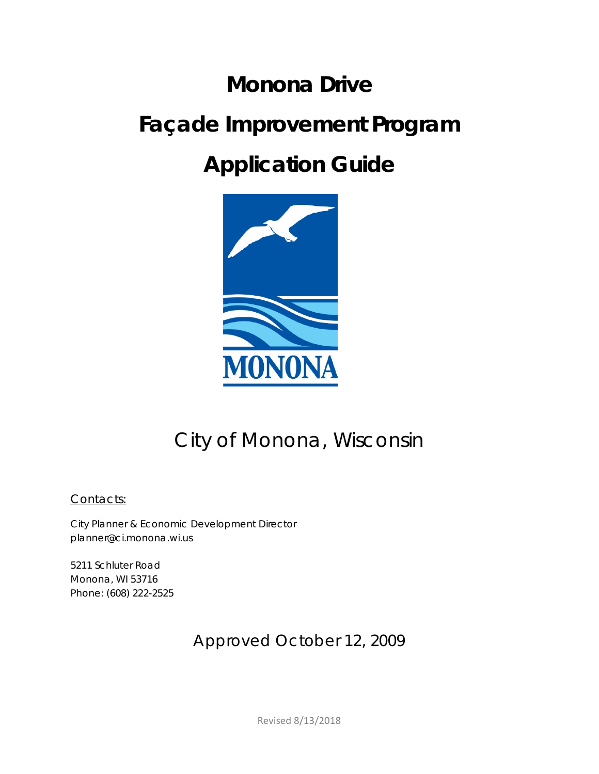# **Monona Drive Façade Improvement Program**

## **Application Guide**



### City of Monona, Wisconsin

Contacts:

City Planner & Economic Development Director planner@ci.monona.wi.us

5211 Schluter Road Monona, WI 53716 Phone: (608) 222-2525

### Approved October 12, 2009

Revised 8/13/2018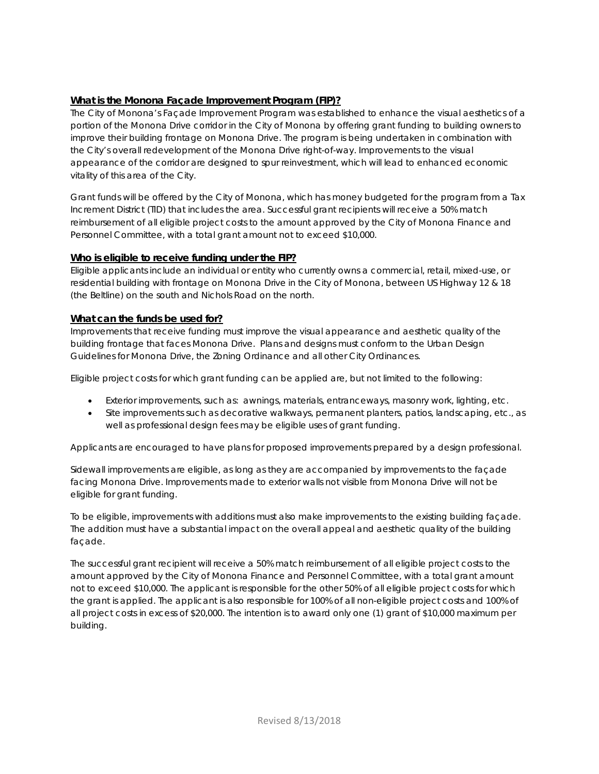#### **What is the Monona Façade Improvement Program (FIP)?**

The City of Monona's Façade Improvement Program was established to enhance the visual aesthetics of a portion of the Monona Drive corridor in the City of Monona by offering grant funding to building owners to improve their building frontage on Monona Drive. The program is being undertaken in combination with the City's overall redevelopment of the Monona Drive right-of-way. Improvements to the visual appearance of the corridor are designed to spur reinvestment, which will lead to enhanced economic vitality of this area of the City.

Grant funds will be offered by the City of Monona, which has money budgeted for the program from a Tax Increment District (TID) that includes the area. Successful grant recipients will receive a 50% match reimbursement of all eligible project costs to the amount approved by the City of Monona Finance and Personnel Committee, with a total grant amount not to exceed \$10,000.

#### **Who is eligible to receive funding under the FIP?**

Eligible applicants include an individual or entity who currently owns a commercial, retail, mixed-use, or residential building with frontage on Monona Drive in the City of Monona, between US Highway 12 & 18 (the Beltline) on the south and Nichols Road on the north.

#### **What can the funds be used for?**

Improvements that receive funding must improve the visual appearance and aesthetic quality of the building frontage that faces Monona Drive. Plans and designs must conform to the Urban Design Guidelines for Monona Drive, the Zoning Ordinance and all other City Ordinances.

Eligible project costs for which grant funding can be applied are, but not limited to the following:

- Exterior improvements, such as: awnings, materials, entranceways, masonry work, lighting, etc.
- Site improvements such as decorative walkways, permanent planters, patios, landscaping, etc., as well as professional design fees may be eligible uses of grant funding.

Applicants are encouraged to have plans for proposed improvements prepared by a design professional.

Sidewall improvements are eligible, as long as they are accompanied by improvements to the façade facing Monona Drive. Improvements made to exterior walls not visible from Monona Drive will not be eligible for grant funding.

To be eligible, improvements with additions must also make improvements to the existing building façade. The addition must have a substantial impact on the overall appeal and aesthetic quality of the building façade*.* 

The successful grant recipient will receive a 50% match reimbursement of all eligible project costs to the amount approved by the City of Monona Finance and Personnel Committee, with a total grant amount not to exceed \$10,000. The applicant is responsible for the other 50% of all eligible project costs for which the grant is applied. The applicant is also responsible for 100% of all non-eligible project costs and 100% of all project costs in excess of \$20,000. The intention is to award only one (1) grant of \$10,000 maximum per building.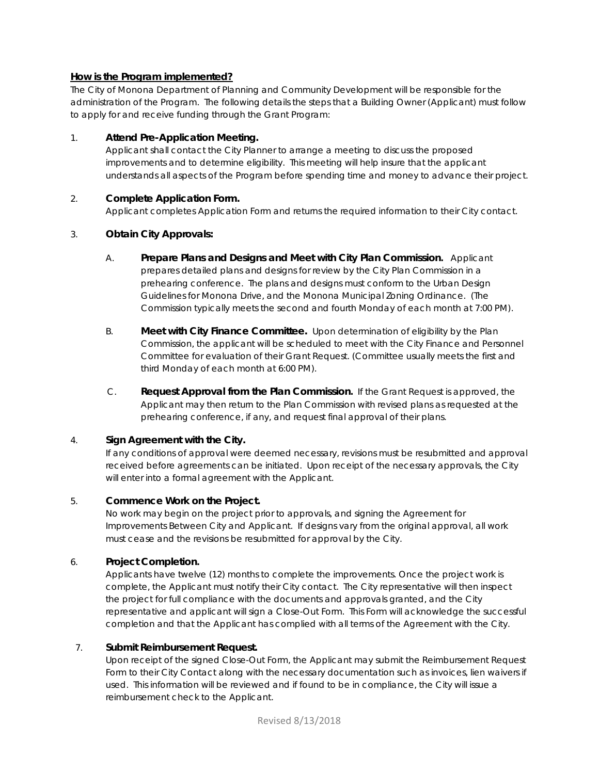#### **How is the Program implemented?**

The City of Monona Department of Planning and Community Development will be responsible for the administration of the Program. The following details the steps that a Building Owner (Applicant) must follow to apply for and receive funding through the Grant Program:

#### 1. **Attend Pre-Application Meeting.**

Applicant shall contact the City Planner to arrange a meeting to discuss the proposed improvements and to determine eligibility. This meeting will help insure that the applicant understands all aspects of the Program before spending time and money to advance their project.

#### 2. **Complete Application Form.**

Applicant completes Application Form and returns the required information to their City contact.

#### 3. **Obtain City Approvals:**

- A. **Prepare Plans and Designs and Meet with City Plan Commission.** Applicant prepares detailed plans and designs for review by the City Plan Commission in a prehearing conference. The plans and designs must conform to the Urban Design Guidelines for Monona Drive, and the Monona Municipal Zoning Ordinance. (The Commission typically meets the second and fourth Monday of each month at 7:00 PM).
- B. **Meet with City Finance Committee.** Upon determination of eligibility by the Plan Commission, the applicant will be scheduled to meet with the City Finance and Personnel Committee for evaluation of their Grant Request. (Committee usually meets the first and third Monday of each month at 6:00 PM).
- C. **Request Approval from the Plan Commission.** If the Grant Request is approved, the Applicant may then return to the Plan Commission with revised plans as requested at the prehearing conference, if any, and request final approval of their plans.

#### 4. **Sign Agreement with the City.**

If any conditions of approval were deemed necessary, revisions must be resubmitted and approval received before agreements can be initiated. Upon receipt of the necessary approvals, the City will enter into a formal agreement with the Applicant.

#### 5. **Commence Work on the Project.**

No work may begin on the project prior to approvals, and signing the Agreement for Improvements Between City and Applicant. If designs vary from the original approval, all work must cease and the revisions be resubmitted for approval by the City.

#### 6. **Project Completion.**

Applicants have twelve (12) months to complete the improvements. Once the project work is complete, the Applicant must notify their City contact. The City representative will then inspect the project for full compliance with the documents and approvals granted, and the City representative and applicant will sign a Close-Out Form. This Form will acknowledge the successful completion and that the Applicant has complied with all terms of the Agreement with the City.

#### 7. **Submit Reimbursement Request.**

Upon receipt of the signed Close-Out Form, the Applicant may submit the Reimbursement Request Form to their City Contact along with the necessary documentation such as invoices, lien waivers if used. This information will be reviewed and if found to be in compliance, the City will issue a reimbursement check to the Applicant.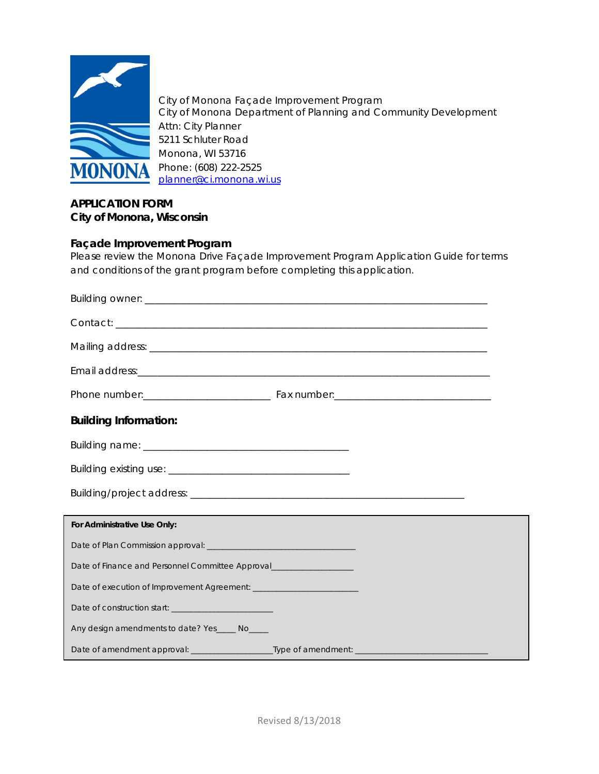

City of Monona Façade Improvement Program City of Monona Department of Planning and Community Development Attn: City Planner 5211 Schluter Road Monona, WI 53716 Phone: (608) 222-2525 [planner@ci.monona.wi.us](mailto:planner@ci.monona.wi.us)

#### **APPLICATION FORM City of Monona, Wisconsin**

#### **Façade Improvement Program**

Please review the Monona Drive Façade Improvement Program Application Guide for terms and conditions of the grant program before completing this application.

| <b>Building Information:</b>                                        |
|---------------------------------------------------------------------|
|                                                                     |
|                                                                     |
|                                                                     |
| For Administrative Use Only:                                        |
|                                                                     |
| Date of Finance and Personnel Committee Approval___________________ |
|                                                                     |
| Date of construction start: ___________________________             |
| Any design amendments to date? Yes_____ No____                      |
|                                                                     |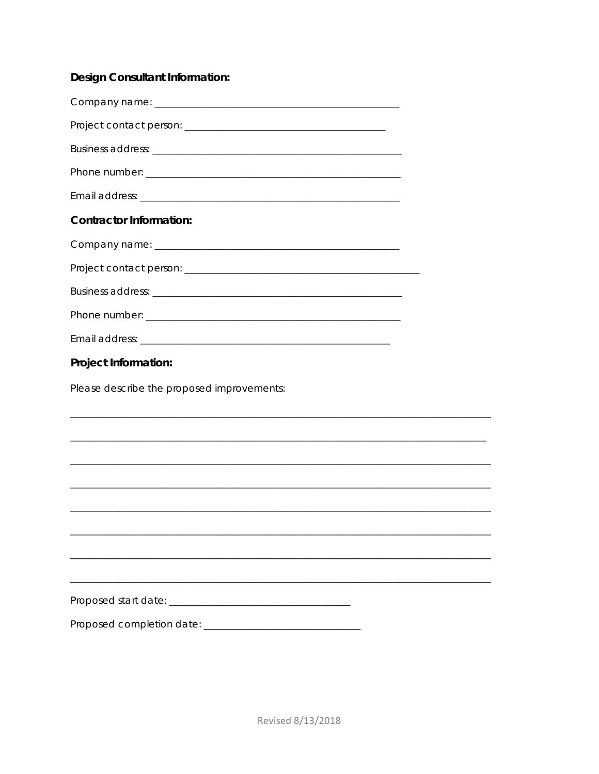#### **Design Consultant Information:**

| <b>Contractor Information:</b>             |
|--------------------------------------------|
|                                            |
|                                            |
|                                            |
|                                            |
|                                            |
| Project Information:                       |
| Please describe the proposed improvements: |
|                                            |
|                                            |
|                                            |
|                                            |
|                                            |
|                                            |
|                                            |
|                                            |
|                                            |
|                                            |